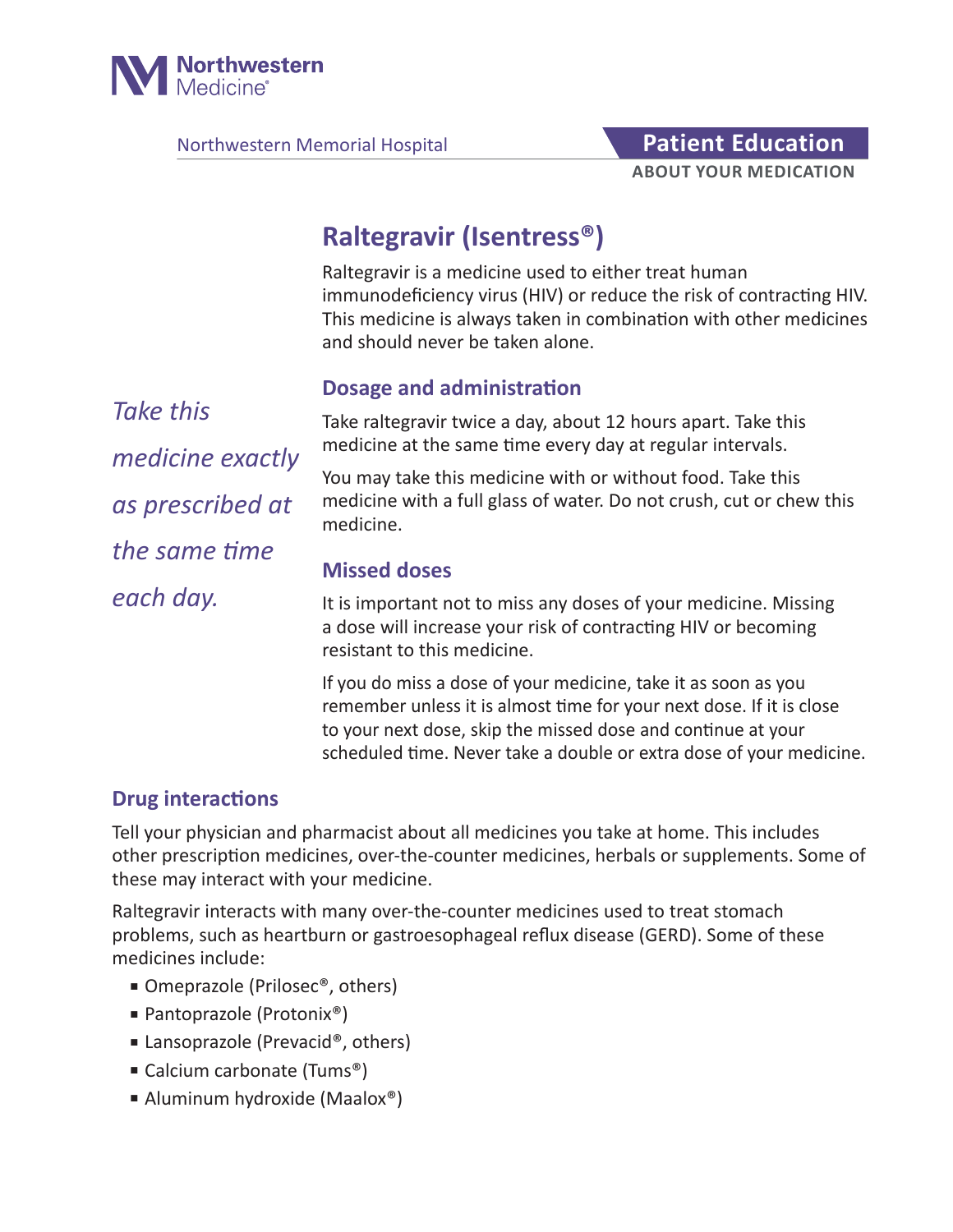

Northwestern Memorial Hospital **Patient Education** 

# **ABOUT YOUR MEDICATION**

# **Raltegravir (Isentress®)**

Raltegravir is a medicine used to either treat human immunodeficiency virus (HIV) or reduce the risk of contracting HIV. This medicine is always taken in combination with other medicines and should never be taken alone.

#### **Dosage and administration**

*Take this medicine exactly as prescribed at the same time each day.*

Take raltegravir twice a day, about 12 hours apart. Take this medicine at the same time every day at regular intervals.

You may take this medicine with or without food. Take this medicine with a full glass of water. Do not crush, cut or chew this medicine.

#### **Missed doses**

It is important not to miss any doses of your medicine. Missing a dose will increase your risk of contracting HIV or becoming resistant to this medicine.

If you do miss a dose of your medicine, take it as soon as you remember unless it is almost time for your next dose. If it is close to your next dose, skip the missed dose and continue at your scheduled time. Never take a double or extra dose of your medicine.

#### **Drug interactions**

Tell your physician and pharmacist about all medicines you take at home. This includes other prescription medicines, over-the-counter medicines, herbals or supplements. Some of these may interact with your medicine.

Raltegravir interacts with many over-the-counter medicines used to treat stomach problems, such as heartburn or gastroesophageal reflux disease (GERD). Some of these medicines include:

- Omeprazole (Prilosec<sup>®</sup>, others)
- Pantoprazole (Protonix®)
- Lansoprazole (Prevacid®, others)
- Calcium carbonate (Tums<sup>®</sup>)
- Aluminum hydroxide (Maalox®)